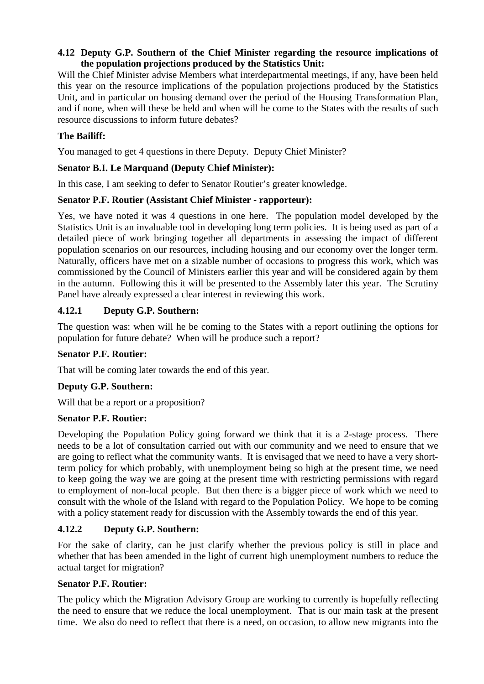## **4.12 Deputy G.P. Southern of the Chief Minister regarding the resource implications of the population projections produced by the Statistics Unit:**

Will the Chief Minister advise Members what interdepartmental meetings, if any, have been held this year on the resource implications of the population projections produced by the Statistics Unit, and in particular on housing demand over the period of the Housing Transformation Plan, and if none, when will these be held and when will he come to the States with the results of such resource discussions to inform future debates?

## **The Bailiff:**

You managed to get 4 questions in there Deputy. Deputy Chief Minister?

#### **Senator B.I. Le Marquand (Deputy Chief Minister):**

In this case, I am seeking to defer to Senator Routier's greater knowledge.

#### **Senator P.F. Routier (Assistant Chief Minister - rapporteur):**

Yes, we have noted it was 4 questions in one here. The population model developed by the Statistics Unit is an invaluable tool in developing long term policies. It is being used as part of a detailed piece of work bringing together all departments in assessing the impact of different population scenarios on our resources, including housing and our economy over the longer term. Naturally, officers have met on a sizable number of occasions to progress this work, which was commissioned by the Council of Ministers earlier this year and will be considered again by them in the autumn. Following this it will be presented to the Assembly later this year. The Scrutiny Panel have already expressed a clear interest in reviewing this work.

## **4.12.1 Deputy G.P. Southern:**

The question was: when will he be coming to the States with a report outlining the options for population for future debate? When will he produce such a report?

#### **Senator P.F. Routier:**

That will be coming later towards the end of this year.

## **Deputy G.P. Southern:**

Will that be a report or a proposition?

#### **Senator P.F. Routier:**

Developing the Population Policy going forward we think that it is a 2-stage process. There needs to be a lot of consultation carried out with our community and we need to ensure that we are going to reflect what the community wants. It is envisaged that we need to have a very shortterm policy for which probably, with unemployment being so high at the present time, we need to keep going the way we are going at the present time with restricting permissions with regard to employment of non-local people. But then there is a bigger piece of work which we need to consult with the whole of the Island with regard to the Population Policy. We hope to be coming with a policy statement ready for discussion with the Assembly towards the end of this year.

## **4.12.2 Deputy G.P. Southern:**

For the sake of clarity, can he just clarify whether the previous policy is still in place and whether that has been amended in the light of current high unemployment numbers to reduce the actual target for migration?

#### **Senator P.F. Routier:**

The policy which the Migration Advisory Group are working to currently is hopefully reflecting the need to ensure that we reduce the local unemployment. That is our main task at the present time. We also do need to reflect that there is a need, on occasion, to allow new migrants into the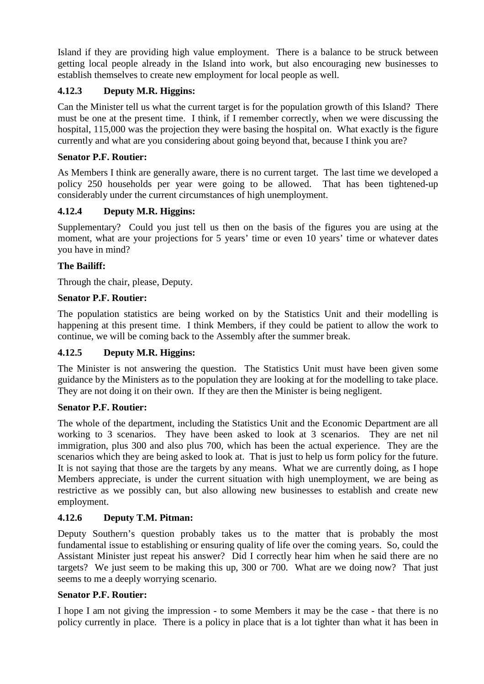Island if they are providing high value employment. There is a balance to be struck between getting local people already in the Island into work, but also encouraging new businesses to establish themselves to create new employment for local people as well.

# **4.12.3 Deputy M.R. Higgins:**

Can the Minister tell us what the current target is for the population growth of this Island? There must be one at the present time. I think, if I remember correctly, when we were discussing the hospital, 115,000 was the projection they were basing the hospital on. What exactly is the figure currently and what are you considering about going beyond that, because I think you are?

## **Senator P.F. Routier:**

As Members I think are generally aware, there is no current target. The last time we developed a policy 250 households per year were going to be allowed. That has been tightened-up considerably under the current circumstances of high unemployment.

# **4.12.4 Deputy M.R. Higgins:**

Supplementary? Could you just tell us then on the basis of the figures you are using at the moment, what are your projections for 5 years' time or even 10 years' time or whatever dates you have in mind?

## **The Bailiff:**

Through the chair, please, Deputy.

## **Senator P.F. Routier:**

The population statistics are being worked on by the Statistics Unit and their modelling is happening at this present time. I think Members, if they could be patient to allow the work to continue, we will be coming back to the Assembly after the summer break.

## **4.12.5 Deputy M.R. Higgins:**

The Minister is not answering the question. The Statistics Unit must have been given some guidance by the Ministers as to the population they are looking at for the modelling to take place. They are not doing it on their own. If they are then the Minister is being negligent.

## **Senator P.F. Routier:**

The whole of the department, including the Statistics Unit and the Economic Department are all working to 3 scenarios. They have been asked to look at 3 scenarios. They are net nil immigration, plus 300 and also plus 700, which has been the actual experience. They are the scenarios which they are being asked to look at. That is just to help us form policy for the future. It is not saying that those are the targets by any means. What we are currently doing, as I hope Members appreciate, is under the current situation with high unemployment, we are being as restrictive as we possibly can, but also allowing new businesses to establish and create new employment.

## **4.12.6 Deputy T.M. Pitman:**

Deputy Southern's question probably takes us to the matter that is probably the most fundamental issue to establishing or ensuring quality of life over the coming years. So, could the Assistant Minister just repeat his answer? Did I correctly hear him when he said there are no targets? We just seem to be making this up, 300 or 700. What are we doing now? That just seems to me a deeply worrying scenario.

## **Senator P.F. Routier:**

I hope I am not giving the impression - to some Members it may be the case - that there is no policy currently in place. There is a policy in place that is a lot tighter than what it has been in